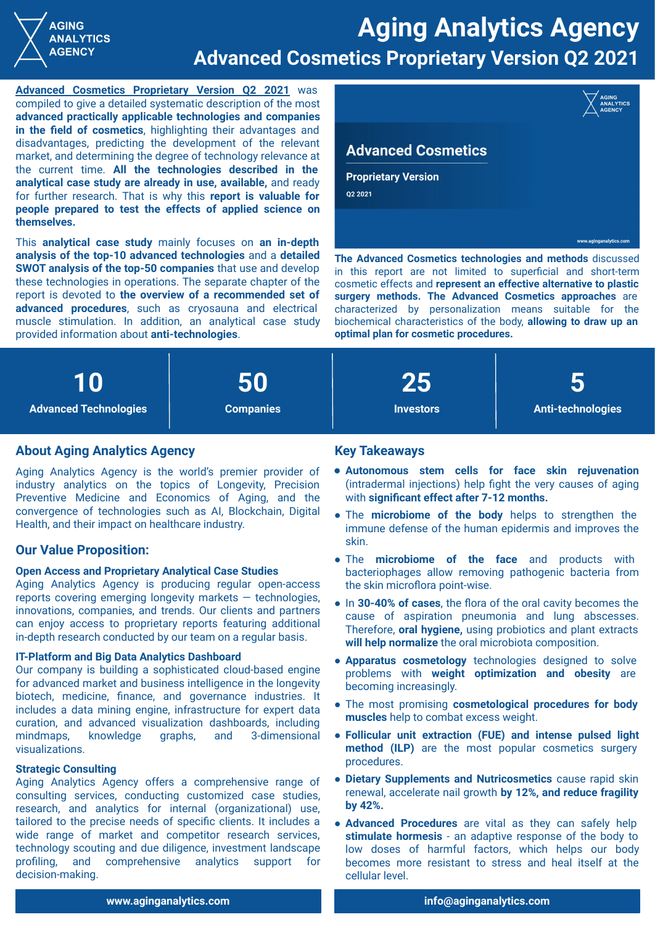

**[Advanced Cosmetics Proprietary Version Q2 2021](https://analytics.dkv.global/advanced-cosmetics-proprietary-version-report.pdf)** was compiled to give a detailed systematic description of the most **advanced practically applicable technologies and companies in the field of cosmetics**, highlighting their advantages and disadvantages, predicting the development of the relevant market, and determining the degree of technology relevance at the current time. **All the technologies described in the analytical case study are already in use, available,** and ready for further research. That is why this **report is valuable for people prepared to test the effects of applied science on themselves.**

This **analytical case study** mainly focuses on **an in-depth analysis of the top-10 advanced technologies** and a **detailed SWOT analysis of the top-50 companies** that use and develop these technologies in operations. The separate chapter of the report is devoted to **the overview of a recommended set of advanced procedures**, such as cryosauna and electrical muscle stimulation. In addition, an analytical case study provided information about **anti-technologies**.



in this report are not limited to superficial and short-term cosmetic effects and **represent an effective alternative to plastic surgery methods. The Advanced Cosmetics approaches** are characterized by personalization means suitable for the biochemical characteristics of the body, **allowing to draw up an optimal plan for cosmetic procedures.**



# **About Aging Analytics Agency**

Aging Analytics Agency is the world's premier provider of industry analytics on the topics of Longevity, Precision Preventive Medicine and Economics of Aging, and the convergence of technologies such as AI, Blockchain, Digital Health, and their impact on healthcare industry.

## **Our Value Proposition:**

**AGING ANALYTICS AGENCY** 

### **Open Access and Proprietary Analytical Case Studies**

Aging Analytics Agency is producing regular open-access reports covering emerging longevity markets — technologies, innovations, companies, and trends. Our clients and partners can enjoy access to proprietary reports featuring additional in-depth research conducted by our team on a regular basis.

#### **IT-Platform and Big Data Analytics Dashboard**

Our company is building a sophisticated cloud-based engine for advanced market and business intelligence in the longevity biotech, medicine, finance, and governance industries. It includes a data mining engine, infrastructure for expert data curation, and advanced visualization dashboards, including mindmaps, knowledge graphs, and 3-dimensional visualizations.

#### **Strategic Consulting**

Aging Analytics Agency offers a comprehensive range of consulting services, сonducting customized case studies, research, and analytics for internal (organizational) use, tailored to the precise needs of specific clients. It includes a wide range of market and competitor research services, technology scouting and due diligence, investment landscape profiling, and comprehensive analytics support for decision-making.

## **Key Takeaways**

- **Autonomous stem cells for face skin rejuvenation** (intradermal injections) help fight the very causes of aging with **significant effect after 7-12 months.**
- The **microbiome of the body** helps to strengthen the immune defense of the human epidermis and improves the skin.
- The **microbiome of the face** and products with bacteriophages allow removing pathogenic bacteria from the skin microflora point-wise.
- In **30-40% of cases**, the flora of the oral cavity becomes the cause of aspiration pneumonia and lung abscesses. Therefore, **oral hygiene,** using probiotics and plant extracts **will help normalize** the oral microbiota composition.
- **Apparatus cosmetology** technologies designed to solve problems with **weight optimization and obesity** are becoming increasingly.
- The most promising **сosmetological procedures for body muscles** help to combat excess weight.
- **Follicular unit extraction (FUE) and intense pulsed light method (ILP)** are the most popular cosmetics surgery procedures.
- **● Dietary Supplements and Nutricosmetics** cause rapid skin renewal, accelerate nail growth **by 12%, and reduce fragility by 42%.**
- **● Advanced Procedures** are vital as they can safely help **stimulate hormesis** - an adaptive response of the body to low doses of harmful factors, which helps our body becomes more resistant to stress and heal itself at the cellular level.